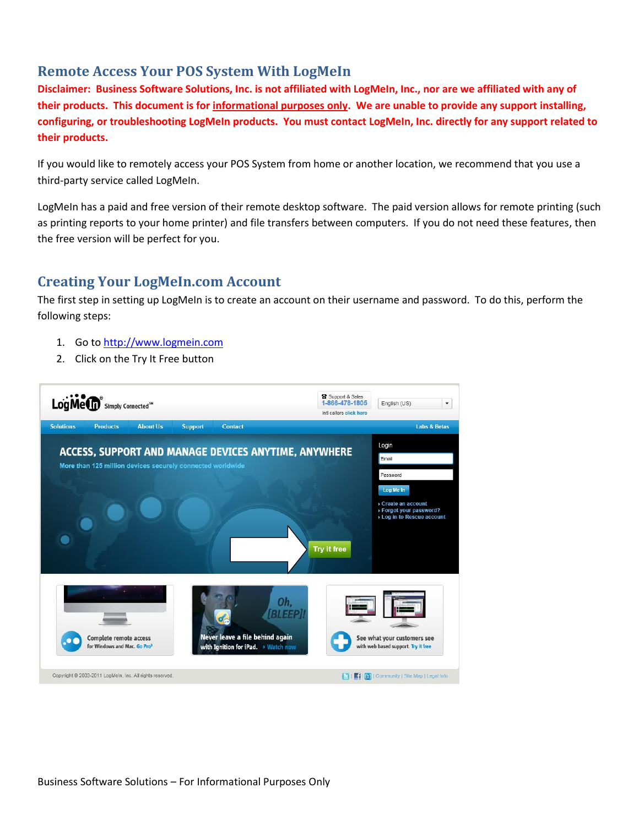## **Remote Access Your POS System With LogMeIn**

**Disclaimer: Business Software Solutions, Inc. is not affiliated with LogMeIn, Inc., nor are we affiliated with any of their products. This document is for informational purposes only. We are unable to provide any support installing, configuring, or troubleshooting LogMeIn products. You must contact LogMeIn, Inc. directly for any support related to their products.**

If you would like to remotely access your POS System from home or another location, we recommend that you use a third-party service called LogMeIn.

LogMeIn has a paid and free version of their remote desktop software. The paid version allows for remote printing (such as printing reports to your home printer) and file transfers between computers. If you do not need these features, then the free version will be perfect for you.

## **Creating Your LogMeIn.com Account**

The first step in setting up LogMeIn is to create an account on their username and password. To do this, perform the following steps:

- 1. Go to [http://www.logmein.com](http://www.logmein.com/)
- 2. Click on the Try It Free button

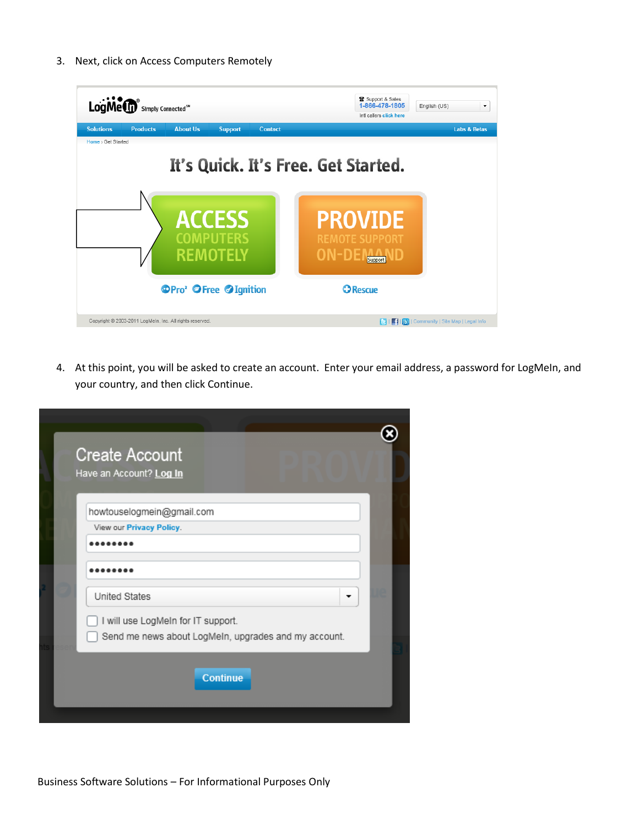3. Next, click on Access Computers Remotely



4. At this point, you will be asked to create an account. Enter your email address, a password for LogMeIn, and your country, and then click Continue.

| <b>Create Account</b><br>Have an Account? Log In                                           |  |
|--------------------------------------------------------------------------------------------|--|
| howtouselogmein@gmail.com<br>View our Privacy Policy.                                      |  |
| United States                                                                              |  |
| I will use LogMeIn for IT support.<br>Send me news about LogMeIn, upgrades and my account. |  |
| <b>Continue</b>                                                                            |  |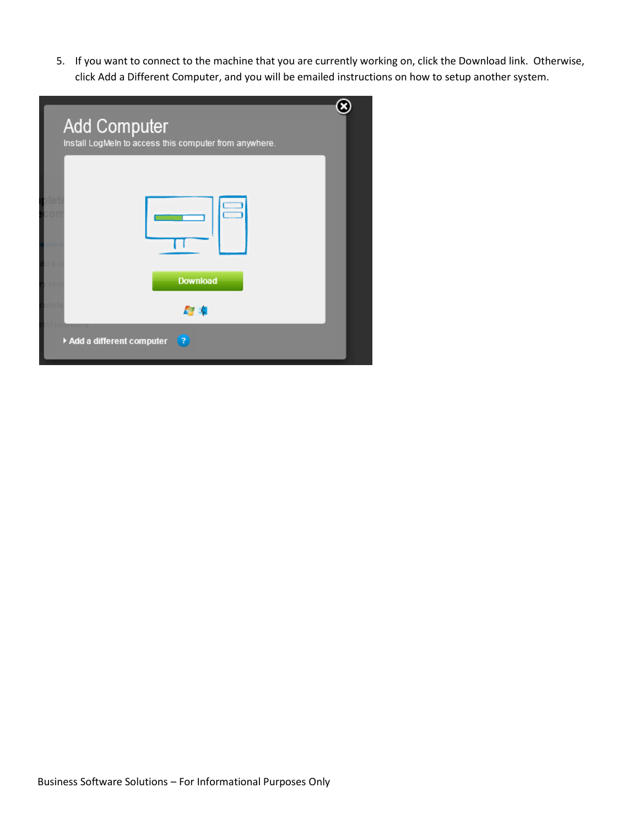5. If you want to connect to the machine that you are currently working on, click the Download link. Otherwise, click Add a Different Computer, and you will be emailed instructions on how to setup another system.

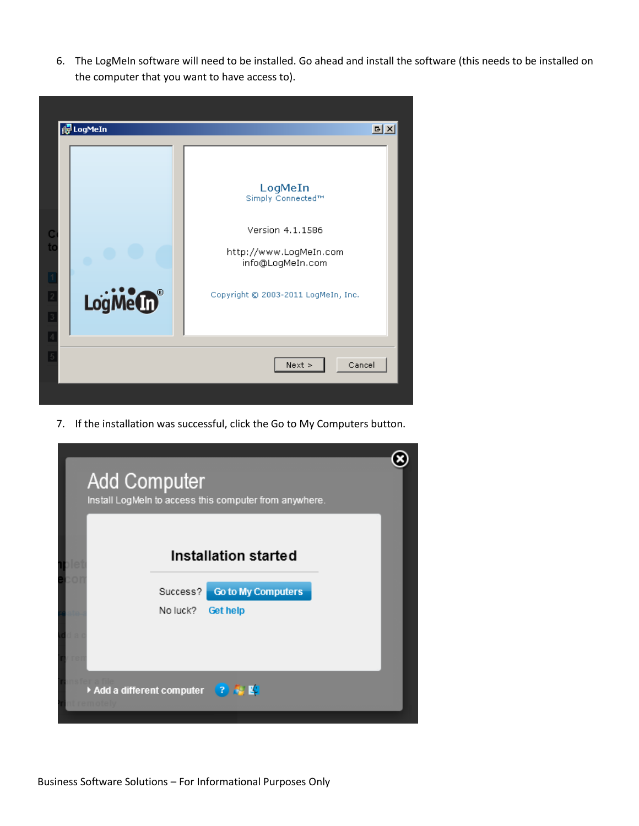6. The LogMeIn software will need to be installed. Go ahead and install the software (this needs to be installed on the computer that you want to have access to).



7. If the installation was successful, click the Go to My Computers button.

|          | Installation started      |  |
|----------|---------------------------|--|
| Success? | <b>Go to My Computers</b> |  |
| No luck? | Get help                  |  |
|          |                           |  |
|          |                           |  |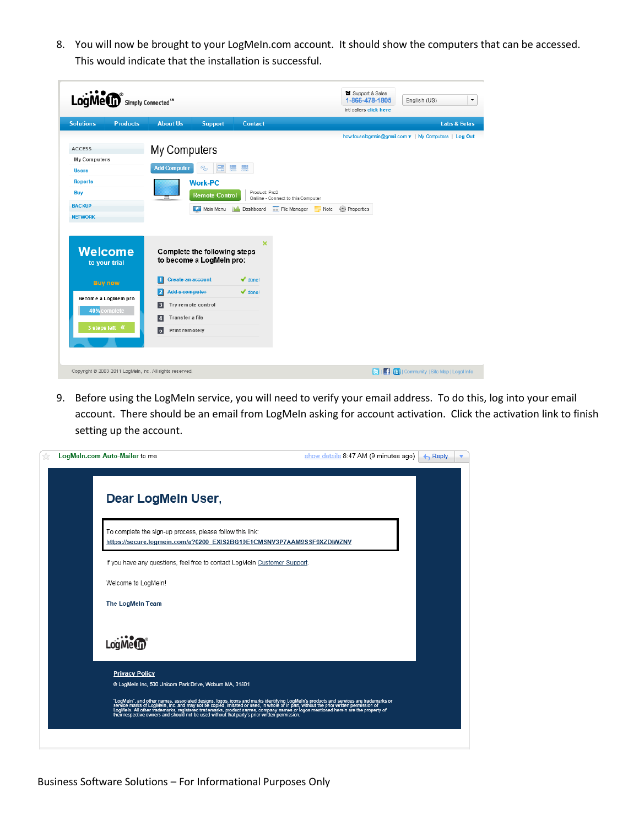8. You will now be brought to your LogMeIn.com account. It should show the computers that can be accessed. This would indicate that the installation is successful.

| <b>Solutions</b><br><b>About Us</b><br><b>Products</b><br><b>Support</b><br>Contact<br>My Computers<br>My Computers<br><b>B</b><br>a a<br><b>Add Computer</b><br>ఉత<br><b>Users</b><br><b>Reports</b><br><b>Work-PC</b><br>Product: Pro2<br>Buy<br><b>Remote Control</b><br>Online - Connect to this Computer<br><b>O</b> Properties<br>Main Menu<br>File Manager<br>Mr Dashboard<br>Note<br>×<br><b>Welcome</b><br>Complete the following steps<br>to become a LogMeln pro:<br>to your trial<br><b>Create an account</b><br>$\blacktriangleright$ done!<br><b>Buy now</b><br>$\blacktriangleright$ done!<br>Add a computer<br>12 | Inti callers click here<br><b>Labs &amp; Betas</b><br>how touselogmein@gmail.com v   My Computers   Log Out |
|-----------------------------------------------------------------------------------------------------------------------------------------------------------------------------------------------------------------------------------------------------------------------------------------------------------------------------------------------------------------------------------------------------------------------------------------------------------------------------------------------------------------------------------------------------------------------------------------------------------------------------------|-------------------------------------------------------------------------------------------------------------|
| <b>ACCESS</b><br><b>BACKUP</b><br><b>NETWORK</b>                                                                                                                                                                                                                                                                                                                                                                                                                                                                                                                                                                                  |                                                                                                             |
| Become a LogMein pro<br>Try remote control<br>3<br>40% complete<br>Transfer a file<br>14<br>3 steps left K<br>5<br>Print remotely                                                                                                                                                                                                                                                                                                                                                                                                                                                                                                 |                                                                                                             |

9. Before using the LogMeIn service, you will need to verify your email address. To do this, log into your email account. There should be an email from LogMeIn asking for account activation. Click the activation link to finish setting up the account.

| LogMeIn.com Auto-Mailer to me                                                                                                                                                                                                     | show details 8:47 AM (9 minutes ago) | $\leftarrow$ Reply |  |
|-----------------------------------------------------------------------------------------------------------------------------------------------------------------------------------------------------------------------------------|--------------------------------------|--------------------|--|
|                                                                                                                                                                                                                                   |                                      |                    |  |
| Dear LogMeln User,                                                                                                                                                                                                                |                                      |                    |  |
|                                                                                                                                                                                                                                   |                                      |                    |  |
| To complete the sign-up process, please follow this link:                                                                                                                                                                         |                                      |                    |  |
| https://secure.logmein.com/a?0200_EXIS2BG19E1CMSNV3P7AAM9SSF9XZDIWZNV                                                                                                                                                             |                                      |                    |  |
| If you have any questions, feel free to contact LogMeIn Customer Support.                                                                                                                                                         |                                      |                    |  |
| Welcome to LogMeIn!                                                                                                                                                                                                               |                                      |                    |  |
| The LogMeIn Team                                                                                                                                                                                                                  |                                      |                    |  |
|                                                                                                                                                                                                                                   |                                      |                    |  |
| LogMe <sup>(1</sup> 1                                                                                                                                                                                                             |                                      |                    |  |
|                                                                                                                                                                                                                                   |                                      |                    |  |
| <b>Privacy Policy</b>                                                                                                                                                                                                             |                                      |                    |  |
| @ LogMein Inc, 500 Unicorn Park Drive, Woburn MA, 01801                                                                                                                                                                           |                                      |                    |  |
| "LogMeln", and other names, associated designs, logos, icons and marks identifying LogMeln's products and services are trademarks or<br>service marks of LogMeln, Inc. and may not be copied, imitated or used, in whole or in pa |                                      |                    |  |
|                                                                                                                                                                                                                                   |                                      |                    |  |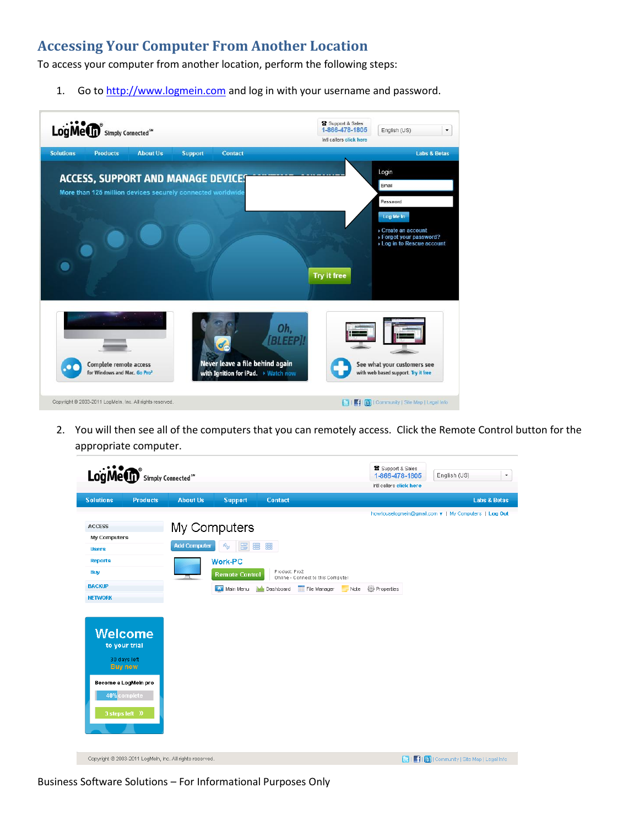## **Accessing Your Computer From Another Location**

To access your computer from another location, perform the following steps:

1. Go t[o http://www.logmein.com](http://www.logmein.com/) and log in with your username and password.



2. You will then see all of the computers that you can remotely access. Click the Remote Control button for the appropriate computer.

| LogMe <sup>Simply Connected<sup>5"</sup></sup>                                                                                                                                                                                           |                                     |                                                          |                                      |                                                   |      | Support & Sales<br>1-866-478-1805 | English (US)                                                   |
|------------------------------------------------------------------------------------------------------------------------------------------------------------------------------------------------------------------------------------------|-------------------------------------|----------------------------------------------------------|--------------------------------------|---------------------------------------------------|------|-----------------------------------|----------------------------------------------------------------|
|                                                                                                                                                                                                                                          |                                     |                                                          |                                      |                                                   |      | Inti callers click here           |                                                                |
| <b>Solutions</b><br><b>Products</b>                                                                                                                                                                                                      | <b>About Us</b>                     | <b>Support</b>                                           | <b>Contact</b>                       |                                                   |      |                                   | <b>Labs &amp; Betas</b>                                        |
| <b>ACCESS</b><br>My Computers<br><b>Users</b><br><b>Reports</b><br>Buy<br><b>BACKUP</b><br><b>NETWORK</b><br><b>Welcome</b><br>to your trial<br>30 days left<br><b>Buy now</b><br>Become a LogMein pro<br>40% complete<br>3 steps left » | My Computers<br><b>Add Computer</b> | 圕<br>ŵ.<br>Work-PC<br><b>Remote Control</b><br>Main Menu | 置<br>▒<br>Product: Pro2<br>Dashboard | Online - Connect to this Computer<br>File Manager | Note | <b>All</b> Properties             | howtouselogmein@gmail.com v   My Computers   Log Out           |
| Copyright @ 2003-2011 LogMeln, Inc. All rights reserved.                                                                                                                                                                                 |                                     |                                                          |                                      |                                                   |      |                                   | <b>C</b>   <b>C</b>   <b>Community</b>   Site Map   Legal Info |

Business Software Solutions – For Informational Purposes Only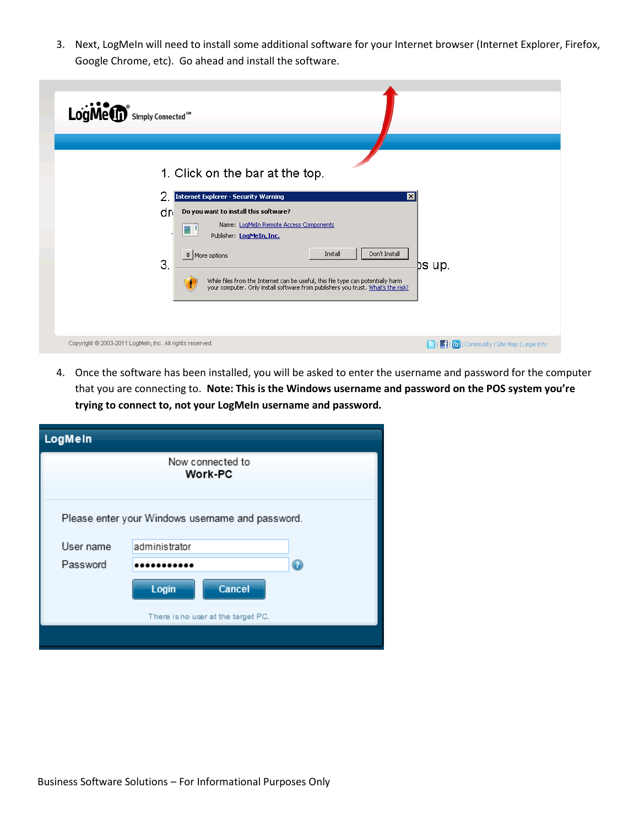3. Next, LogMeIn will need to install some additional software for your Internet browser (Internet Explorer, Firefox, Google Chrome, etc). Go ahead and install the software.

| LogMe <sup>®</sup> Simply Connected <sup>5"</sup>                                                                                                                                                                                                                                                                                                                                                                                                         |
|-----------------------------------------------------------------------------------------------------------------------------------------------------------------------------------------------------------------------------------------------------------------------------------------------------------------------------------------------------------------------------------------------------------------------------------------------------------|
| 1. Click on the bar at the top.<br>Internet Explorer - Security Warning<br>⊠<br>dri<br>Do you want to install this software?<br>Name: LogMeIn Remote Access Components<br>Œ<br>Publisher: LogMeIn, Inc.<br>Don't Install<br>$\frac{1}{2}$ More options<br>Install<br>3.<br>⊉s up.<br>While files from the Internet can be useful, this file type can potentially harm<br>your computer. Only install software from publishers you trust. What's the risk? |
| Copyright @ 2003-2011 LogMeln, Inc. All rights reserved.<br><b>E</b>   <b>Fil (b)</b>   Community   Site Map   Legal Info                                                                                                                                                                                                                                                                                                                                 |

4. Once the software has been installed, you will be asked to enter the username and password for the computer that you are connecting to. **Note: This is the Windows username and password on the POS system you're trying to connect to, not your LogMeIn username and password.**

| LogMein                                          |                             |                |  |  |  |  |  |
|--------------------------------------------------|-----------------------------|----------------|--|--|--|--|--|
|                                                  | Now connected to<br>Work-PC |                |  |  |  |  |  |
| Please enter your Windows username and password. |                             |                |  |  |  |  |  |
| User name                                        | administrator               |                |  |  |  |  |  |
| Password                                         |                             | $\circledcirc$ |  |  |  |  |  |
|                                                  | Cancel<br>Login             |                |  |  |  |  |  |
| There is no user at the target PC.               |                             |                |  |  |  |  |  |
|                                                  |                             |                |  |  |  |  |  |